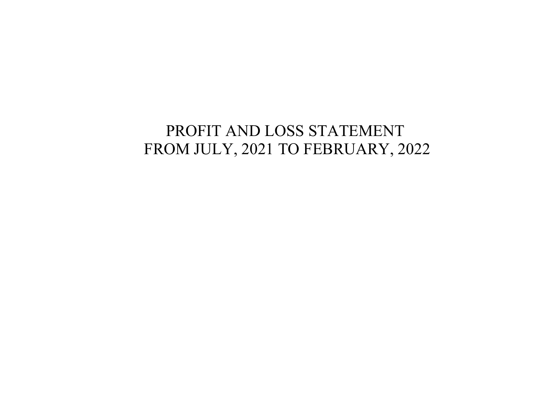# PROFIT AND LOSS STATEMENT FROM JULY, 2021 TO FEBRUARY, 2022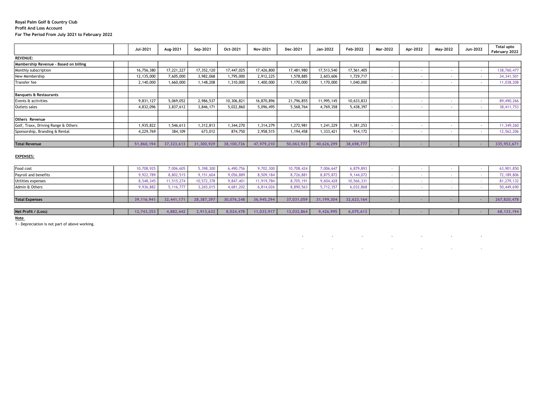### Royal Palm Golf & Country Club Profit And Loss Account For The Period From July 2021 to February 2022

|                                       | Jul-2021   | Aug-2021   | Sep-2021   | Oct-2021   | Nov-2021   | Dec-2021   | Jan-2022   | Feb-2022   | Mar-2022 | Apr-2022                 | May-2022 | Jun-2022 | <b>Total upto</b><br>February 2022 |
|---------------------------------------|------------|------------|------------|------------|------------|------------|------------|------------|----------|--------------------------|----------|----------|------------------------------------|
| <b>REVENUE:</b>                       |            |            |            |            |            |            |            |            |          |                          |          |          |                                    |
| Mambership Revenue - Based on billing |            |            |            |            |            |            |            |            |          |                          |          |          |                                    |
| Monthly subscription                  | 16,756,380 | 17,221,227 | 17,352,120 | 17,447,025 | 17,426,800 | 17,481,980 | 17,513,540 | 17,561,405 |          |                          |          |          | 138,760,477                        |
| New Membership                        | 12,135,000 | 7,605,000  | 3,982,068  | 1,795,000  | 2,912,225  | 1,578,885  | 2,603,606  | 1,729,717  |          |                          |          |          | 34, 341, 501                       |
| Transfer fee                          | 2,140,000  | 1,660,000  | 1,148,208  | 1,310,000  | 1,400,000  | 1,170,000  | 1,170,000  | 1,040,000  |          |                          |          |          | 11,038,208                         |
|                                       |            |            |            |            |            |            |            |            |          |                          |          |          |                                    |
| <b>Banquets &amp; Restaurants</b>     |            |            |            |            |            |            |            |            |          |                          |          |          |                                    |
| Events & activities                   | 9,831,127  | 5,069,052  | 2,986,537  | 10,306,821 | 16,870,896 | 21,796,855 | 11,995,145 | 10,633,833 |          |                          |          |          | 89,490,266                         |
| Outlets sales                         | 4,832,096  | 3,837,612  | 3,846,171  | 5,022,860  | 5,096,495  | 5,568,764  | 4,769,358  | 5,438,397  |          | $\sim$                   |          |          | 38,411,753                         |
|                                       |            |            |            |            |            |            |            |            |          |                          |          |          |                                    |
| Others Revenue                        |            |            |            |            |            |            |            |            |          |                          |          |          |                                    |
| Golf, Traxx, Driving Range & Others   | 1,935,822  | 1,546,613  | 1,312,813  | 344,270    | 1,314,279  | 1,272,981  | 1,241,229  | 1,381,253  |          | $\overline{\phantom{a}}$ |          |          | 11,349,260                         |
| Sponsorship, Branding & Rental        | 4,229,769  | 384,109    | 673,012    | 874,750    | 2,958,515  | 1,194,458  | 1,333,421  | 914,172    |          | $\overline{\phantom{a}}$ |          |          | 12,562,206                         |
|                                       |            |            |            |            |            |            |            |            |          |                          |          |          |                                    |
| <b>Total Revenue</b>                  | 51,860,194 | 37,323,613 | 31,300,929 | 38,100,726 | 47,979,210 | 50,063,923 | 40,626,299 | 38,698,777 |          |                          |          |          | 335,953,671                        |
|                                       |            |            |            |            |            |            |            |            |          |                          |          |          |                                    |

### EXPENSES:

| Food cost             | 10.708.925 | 7,006,605  | 5,398,300  | 6,490,756  | 9,702,300  | 10,708,424 | 7,006,647  | 6,879,893  |  |  | 63,901,850   |
|-----------------------|------------|------------|------------|------------|------------|------------|------------|------------|--|--|--------------|
| Payroll and benefits  | 9,922,789  | 8,802,515  | 9,151,604  | 9,056,889  | 8,509,184  | 8,726,881  | 8,875,872  | 9,144,072  |  |  | 72,189,806   |
| Utilities expenses    | 8,548,345  | 11,515,274 | 10,572,378 | 9,847,401  | 11,919,784 | 8,705,191  | 9,604,428  | 10,566,331 |  |  | 81,279,132   |
| Admin & Others        | 9,936,882  | 5,116,777  | 3,265,015  | 4,681,202  | 6.814.026  | 8,890,563  | 5,712,357  | 6,032,868  |  |  | 50,449,690   |
|                       |            |            |            |            |            |            |            |            |  |  |              |
| <b>Total Expenses</b> | 39,116,941 | 32,441,171 | 28,387,297 | 30.076.248 | 36,945,294 | 37,031,059 | 31,199,304 | 32,623,164 |  |  | 267,820,478  |
|                       |            |            |            |            |            |            |            |            |  |  |              |
| Net Profit / (Loss)   | 12,743,253 | 4,882,442  | 2,913,632  | 8,024,478  | 11,033,917 | 13,032,864 | 9,426,995  | 6,075,613  |  |  | 68, 133, 194 |
|                       |            |            |            |            |            |            |            |            |  |  |              |

 - - - - - - - -  $\mathcal{L}$  -  $\mathcal{L}$  -  $\mathcal{L}$  -  $\mathcal{L}$  -  $\mathcal{L}$  -  $\mathcal{L}$  -  $\mathcal{L}$  -  $\mathcal{L}$  -  $\mathcal{L}$  -  $\mathcal{L}$ 

#### Note

1 - Depreciation is not part of above working.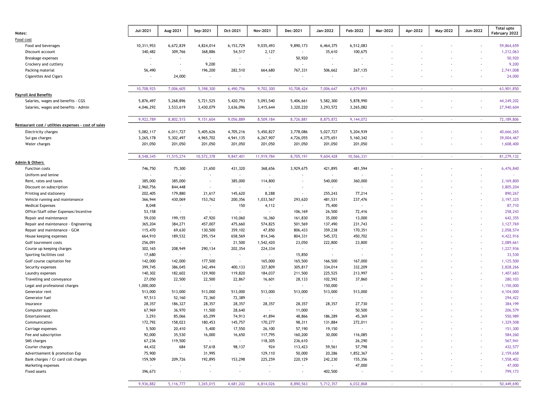| Notes:                                               | Jul-2021                 | Aug-2021                 | Sep-2021                 | Oct-2021                 | Nov-2021                 | Dec-2021                 | Jan-2022                 | Feb-2022                 | Mar-2022 | Apr-2022 | May-2022 | Jun-2022                 | <b>Total upto</b><br>February 2022 |
|------------------------------------------------------|--------------------------|--------------------------|--------------------------|--------------------------|--------------------------|--------------------------|--------------------------|--------------------------|----------|----------|----------|--------------------------|------------------------------------|
| Food cost                                            |                          |                          |                          |                          |                          |                          |                          |                          |          |          |          |                          |                                    |
| Food and beverages                                   | 10,311,953               | 6,672,839                | 4,824,014                | 6, 153, 729              | 9,035,493                | 9,890,173                | 6,464,375                | 6,512,083                |          |          |          |                          | 59,864,659                         |
| Discount account                                     | 340,482                  | 309,766                  | 368,886                  | 54,517                   | 2,127                    | $\overline{\phantom{a}}$ | 35,610                   | 100,675                  |          |          |          |                          | 1,212,063                          |
| Breakage expenses                                    | $\overline{\phantom{a}}$ | $\sim$                   | $\omega$                 | $\overline{\phantom{a}}$ |                          | 50,920                   | $\sim$                   | $\sim$                   |          |          |          |                          | 50,920                             |
| Crockery and cuttlery                                | $\sim$                   | $\overline{\phantom{a}}$ | 9,200                    | $\sim$                   | $\overline{\phantom{a}}$ | $\sim$                   | $\sim$                   | $\blacksquare$           |          |          |          | $\overline{\phantom{a}}$ | 9,200                              |
| Packing material                                     | 56,490                   | $\overline{\phantom{a}}$ | 196,200                  | 282,510                  | 664,680                  | 767,331                  | 506,662                  | 267,135                  |          |          |          | $\overline{\phantom{a}}$ | 2,741,008                          |
| <b>Cigarettes And Cigars</b>                         | $\sim$                   | 24,000                   | $\overline{\phantom{a}}$ |                          |                          |                          | $\overline{\phantom{a}}$ | $\blacksquare$           |          |          |          | $\overline{\phantom{a}}$ | 24,000                             |
|                                                      |                          |                          |                          |                          |                          |                          |                          |                          |          |          |          |                          |                                    |
|                                                      | 10,708,925               | 7,006,605                | 5,398,300                | 6,490,756                | 9,702,300                | 10,708,424               | 7,006,647                | 6,879,893                |          |          |          | $\sim$                   | 63,901,850                         |
| <b>Payroll And Benefits</b>                          |                          |                          |                          |                          |                          |                          |                          |                          |          |          |          |                          |                                    |
| Salaries, wages and benefits - CGS                   | 5,876,497                | 5,268,896                | 5,721,525                | 5,420,793                | 5,093,540                | 5,406,661                | 5,582,300                | 5,878,990                |          |          |          | $\overline{\phantom{a}}$ | 44,249,202                         |
| Salaries, wages and benefits - Admin                 | 4,046,292                | 3,533,619                | 3,430,079                | 3,636,096                | 3,415,644                | 3,320,220                | 3,293,572                | 3,265,082                |          |          |          |                          | 27,940,604                         |
|                                                      |                          |                          |                          |                          |                          |                          |                          |                          |          |          |          |                          |                                    |
| Restaurant cost / utilities expenses - cost of sales | 9,922,789                | 8,802,515                | 9,151,604                | 9,056,889                | 8,509,184                | 8,726,881                | 8,875,872                | 9,144,072                | $\sim$   | $\sim$   |          | $\sim$                   | 72, 189, 806                       |
| Electricity charges                                  | 5,082,117                | 6,011,727                | 5,405,626                | 4,705,216                | 5,450,827                | 3,778,086                | 5,027,727                | 5,204,939                |          |          |          |                          | 40,666,265                         |
| Sui gas charges                                      | 3,265,178                | 5,302,497                | 4,965,702                | 4,941,135                | 6,267,907                | 4,726,055                | 4,375,651                | 5,160,342                |          |          |          | $\blacksquare$           | 39,004,467                         |
| Water charges                                        | 201,050                  | 201,050                  | 201,050                  | 201,050                  | 201,050                  | 201,050                  | 201,050                  | 201,050                  |          |          |          |                          | 1,608,400                          |
|                                                      |                          |                          |                          |                          |                          |                          |                          |                          |          |          |          |                          |                                    |
|                                                      | 8,548,345                | 11,515,274               | 10,572,378               | 9,847,401                | 11,919,784               | 8,705,191                | 9,604,428                | 10,566,331               | $\sim$   | $\sim$   |          | $\sim$                   | 81,279,132                         |
| Admin & Others                                       |                          |                          |                          |                          |                          |                          |                          |                          |          |          |          |                          |                                    |
| <b>Function costs</b>                                | 746,750                  | 75,300                   | 21,650                   | 431,320                  | 368,656                  | 3,929,675                | 421,895                  | 481,594                  |          |          |          |                          | 6,476,840                          |
| Uniform and lenine                                   | $\sim$                   | $\blacksquare$           | $\overline{\phantom{a}}$ | $\sim$                   | $\overline{\phantom{a}}$ |                          | $\sim$                   | $\blacksquare$           |          |          |          |                          |                                    |
| Rent, rates and taxes                                | 385,000                  | 385,000                  | $\overline{\phantom{a}}$ | 385,000                  | 114,800                  |                          | 540,000                  | 360,000                  |          |          |          |                          | 2,169,800                          |
| Discount on subscription                             | 2,960,756                | 844,448                  | $\sim$                   | $\sim$                   | $\blacksquare$           |                          | $\sim$                   | $\sim$                   |          |          |          |                          | 3,805,204                          |
| Printing and stationery                              | 202,405                  | 179,880                  | 21,617                   | 145,620                  | 8,288                    | $\sim$                   | 255,243                  | 77,214                   |          |          |          |                          | 890,267                            |
| Vehicle running and maintenance                      | 366,944                  | 430,069                  | 153,762                  | 200,356                  | 1,033,567                | 293,620                  | 481,531                  | 237,476                  |          |          |          | $\overline{\phantom{a}}$ | 3, 197, 325                        |
| <b>Medical Expenses</b>                              | 8,048                    | $\overline{\phantom{a}}$ | $\sim$                   | 150                      | 4,112                    | $\sim$                   | 75,400                   | $\sim$                   |          |          |          | $\overline{\phantom{a}}$ | 87,710                             |
| Office/Staff other Expenses/Incentive                | 53,158                   | $\sim$                   | $\sim$                   | $\sim$                   | $\sim$                   | 106,169                  | 26,500                   | 72,416                   |          |          |          |                          | 258,243                            |
| Repair and maintenance                               | 59,030                   | 199,155                  | 47,920                   | 110,060                  | 16,360                   | 161,830                  | 35,000                   | 13,000                   |          |          |          | $\overline{\phantom{a}}$ | 642,355                            |
| Repair and maintenance - Engineering                 | 365,204                  | 384,271                  | 457,007                  | 475,660                  | 574,825                  | 501,569                  | 137,490                  | 231,743                  |          |          |          | $\overline{\phantom{a}}$ | 3, 127, 769                        |
| Repair and maintenance - GCM                         | 115,470                  | 69,630                   | 130,500                  | 359,102                  | 47,850                   | 806,433                  | 359,238                  | 170,351                  |          |          |          | $\overline{\phantom{a}}$ | 2,058,574                          |
| House keeping expenses                               | 664,910                  | 189,532                  | 295,154                  | 658,569                  | 814,346                  | 804,331                  | 545,372                  | 450,702                  |          |          |          | $\overline{\phantom{a}}$ | 4,422,916                          |
| Golf tournment costs                                 | 256,091                  | $\sim$                   | $\sim$                   | 21,500                   | 1,542,420                | 23,050                   | 222,800                  | 23,800                   |          |          |          | $\overline{\phantom{a}}$ | 2,089,661                          |
| Course up keeping charges                            | 302,165                  | 208,949                  | 290,134                  | 202,354                  | 224,334                  |                          | $\overline{\phantom{a}}$ | $\blacksquare$           |          |          |          | $\overline{\phantom{a}}$ | 1,227,936                          |
| Sporting facilities cost                             | 17,680                   | $\sim$                   | $\sim$                   | $\sim$                   | $\sim$                   | 15,850                   | $\sim$                   | $\overline{\phantom{a}}$ |          |          |          | $\overline{\phantom{a}}$ | 33,530                             |
| Golf course capitation fee                           | 142,000                  | 142,000                  | 177,500                  | $\sim$                   | 165,000                  | 165,500                  | 166,500                  | 167,000                  |          |          |          |                          | 1,125,500                          |
| Security expenses                                    | 399,745                  | 386,045                  | 342,494                  | 400,133                  | 327,809                  | 305,817                  | 334,014                  | 332,209                  |          |          |          | $\blacksquare$           | 2,828,266                          |
| Laundry expenses                                     | 140,302                  | 182,602                  | 129,900                  | 119,820                  | 184,037                  | 211,500                  | 225,525                  | 213,997                  |          |          |          |                          | 1,407,683                          |
| Travelling and conveyance                            | 27,050                   | 22,500                   | 22,500                   | 22,867                   | 16,601                   | 28,133                   | 102,592                  | 37,860                   |          |          |          | $\overline{\phantom{a}}$ | 280,103                            |
| Legal and professional charges                       | 1,000,000                | $\overline{\phantom{a}}$ | $\sim$                   | $\overline{\phantom{a}}$ | $\overline{\phantom{a}}$ |                          | 150,000                  | $\overline{\phantom{a}}$ |          |          |          |                          | 1,150,000                          |
| Generator rent                                       | 513,000                  | 513,000                  | 513,000                  | 513,000                  | 513,000                  | 513,000                  | 513,000                  | 513,000                  |          |          |          | $\overline{\phantom{a}}$ | 4,104,000                          |
| Generator fuel                                       | 97,513                   | 52,160                   | 72,360                   | 72,389                   | $\overline{\phantom{a}}$ |                          | $\sim$                   | $\sim$                   |          |          |          |                          | 294,422                            |
| Insurance                                            | 28,357                   | 186,327                  | 28,357                   | 28,357                   | 28,357                   | 28,357                   | 28,357                   | 27,730                   |          |          |          |                          | 384,199                            |
| Computer supplies                                    | 67,969                   | 36,970                   | 11,500                   | 28,640                   | $\blacksquare$           | 11,000                   | $\blacksquare$           | 50,500                   |          |          |          |                          | 206,579                            |
| Entertainment                                        | 3,293                    | 85,066                   | 65,299                   | 74,913                   | 41,894                   | 48,866                   | 186,289                  | 45,369                   |          |          |          |                          | 550,989                            |
| Communication                                        | 172,792                  | 158,023                  | 180,453                  | 145,757                  | 170,277                  | 98,311                   | 131,884                  | 272,011                  |          |          |          |                          | 1,329,508                          |
| Carriage expenses                                    | 5,500                    | 20,410                   | 5,400                    | 17,550                   | 26,100                   | 57,190                   | 19,150                   | $\overline{\phantom{a}}$ |          |          |          |                          | 151,300                            |
| Fee and subscription                                 | 92,000                   | 35,530                   | 16,000                   | 16,650                   | 117,795                  | 160,200                  | 30,000                   | 116,085                  |          |          |          |                          | 584,260                            |
| SMS charges                                          | 67,236                   | 119,500                  | $\sim$                   | $\sim$                   | 118,305                  | 236,610                  | $\sim$                   | 26,290                   |          |          |          |                          | 567,941                            |
| Courier charges                                      | 44,432                   | 684                      | 57,618                   | 98,137                   | 924                      | 113,423                  | 59,561                   | 57,798                   |          |          |          |                          | 432,577                            |
| Advertisement & promotion Exp                        | 75,900                   | $\sim$                   | 31,995                   | $\sim$                   | 129,110                  | 50,000                   | 20,286                   | 1,852,367                |          |          |          | $\overline{\phantom{a}}$ | 2,159,658                          |
| Bank charges / Cr card coll charges                  | 159,509                  | 209,726                  | 192,895                  | 153,298                  | 225,259                  | 220,129                  | 242,230                  | 155,356                  |          |          |          |                          | 1,558,402                          |
| Marketing expenses                                   | $\sim$                   | $\blacksquare$           | $\sim$                   | $\overline{\phantom{a}}$ | ٠                        | $\sim$                   | $\sim$                   | 47,000                   |          |          |          | $\overline{\phantom{a}}$ | 47,000                             |
| Fixed assets                                         | 396,673                  | $\overline{\phantom{a}}$ | $\blacksquare$           | $\sim$                   | $\overline{\phantom{a}}$ | $\sim$                   | 402,500                  | $\sim$                   |          |          |          | $\overline{\phantom{a}}$ | 799,173                            |
|                                                      |                          |                          |                          |                          |                          |                          |                          |                          |          |          |          |                          |                                    |
|                                                      | 9,936,882                | 5,116,777                | 3,265,015                | 4,681,202                | 6,814,026                | 8,890,563                | 5,712,357                | 6,032,868                | $\sim$   | $\sim$   | $\sim$   | $\sim$                   | 50,449,690                         |